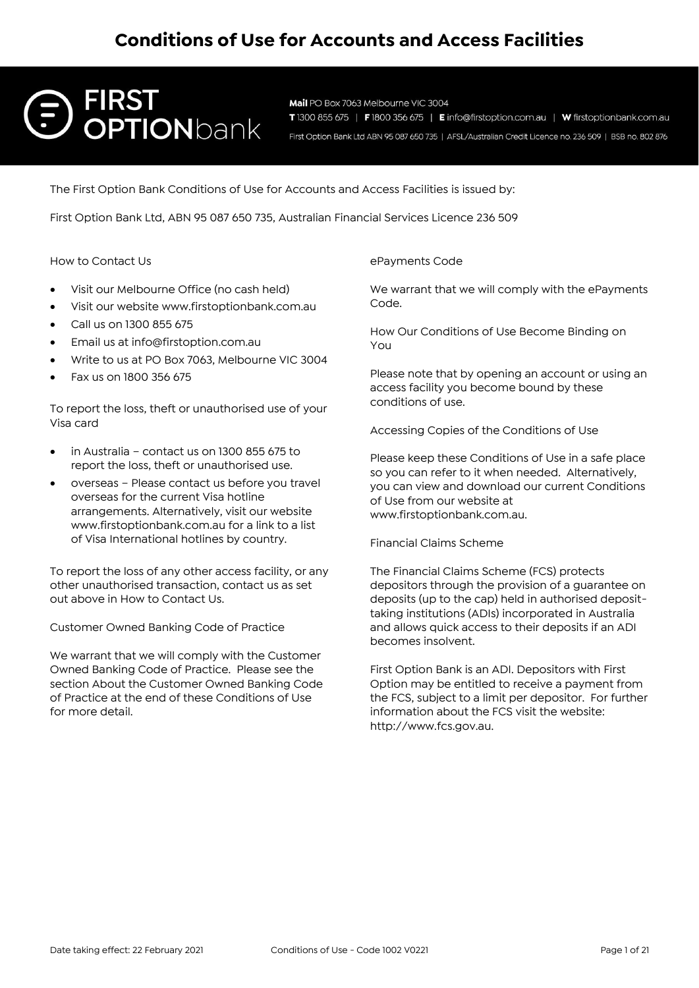# **FIRST OPTION**bank

Mail PO Box 7063 Melbourne VIC 3004 T1300 855 675 | F1800 356 675 | Einfo@firstoption.com.au | W firstoptionbank.com.au First Option Bank Ltd ABN 95 087 650 735 | AFSL/Australian Credit Licence no. 236 509 | BSB no. 802 876

The First Option Bank Conditions of Use for Accounts and Access Facilities is issued by:

First Option Bank Ltd, ABN 95 087 650 735, Australian Financial Services Licence 236 509

How to Contact Us

- Visit our Melbourne Office (no cash held)
- Visit our website www.firstoptionbank.com.au
- Call us on 1300 855 675
- Email us at info@firstoption.com.au
- Write to us at PO Box 7063, Melbourne VIC 3004
- Fax us on 1800 356 675

To report the loss, theft or unauthorised use of your Visa card

- in Australia contact us on 1300 855 675 to report the loss, theft or unauthorised use.
- overseas Please contact us before you travel overseas for the current Visa hotline arrangements. Alternatively, visit our website www.firstoptionbank.com.au for a link to a list of Visa International hotlines by country.

To report the loss of any other access facility, or any other unauthorised transaction, contact us as set out above in How to Contact Us.

Customer Owned Banking Code of Practice

We warrant that we will comply with the Customer Owned Banking Code of Practice. Please see the section About the Customer Owned Banking Code of Practice at the end of these Conditions of Use for more detail.

ePayments Code

We warrant that we will comply with the ePayments Code.

How Our Conditions of Use Become Binding on You

Please note that by opening an account or using an access facility you become bound by these conditions of use.

Accessing Copies of the Conditions of Use

Please keep these Conditions of Use in a safe place so you can refer to it when needed. Alternatively, you can view and download our current Conditions of Use from our website at www.firstoptionbank.com.au.

Financial Claims Scheme

The Financial Claims Scheme (FCS) protects depositors through the provision of a guarantee on deposits (up to the cap) held in authorised deposittaking institutions (ADIs) incorporated in Australia and allows quick access to their deposits if an ADI becomes insolvent.

First Option Bank is an ADI. Depositors with First Option may be entitled to receive a payment from the FCS, subject to a limit per depositor. For further information about the FCS visit the website: http://www.fcs.gov.au.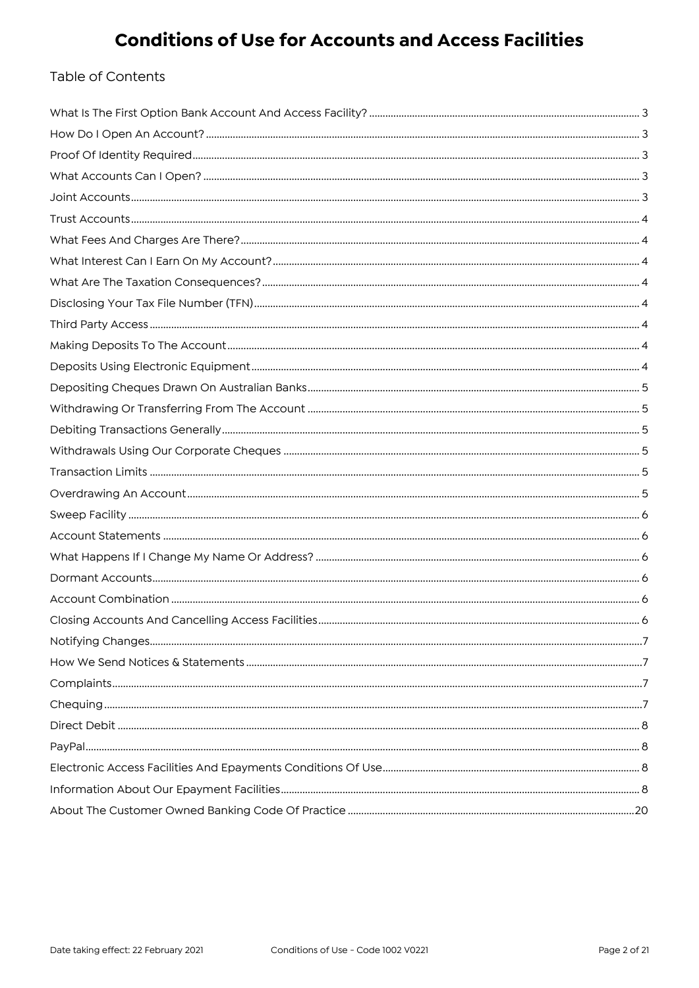### Table of Contents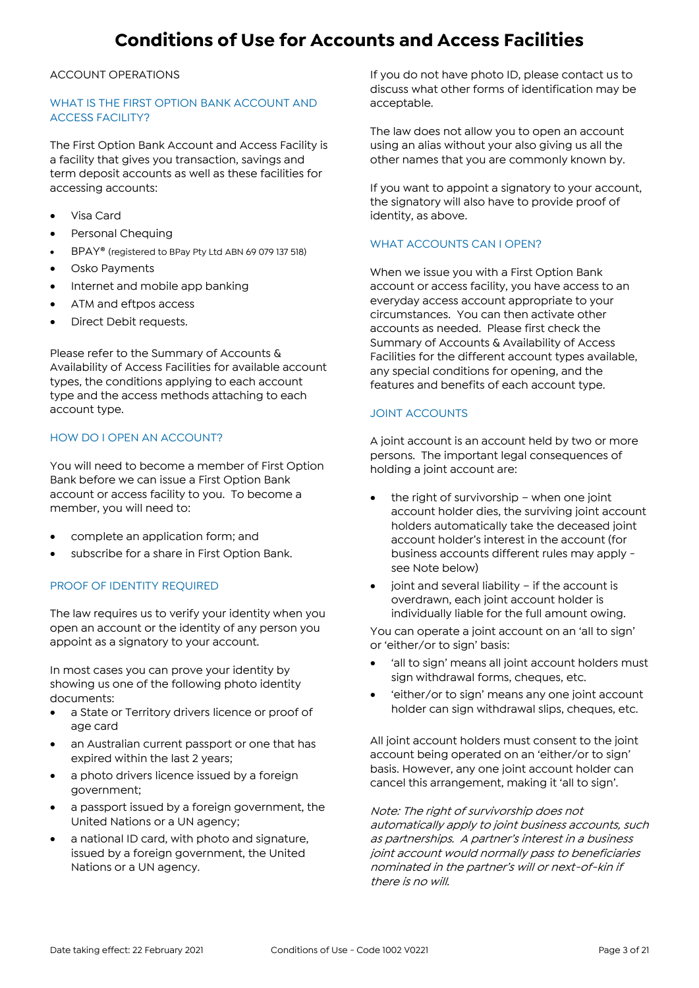#### ACCOUNT OPERATIONS

#### WHAT IS THE FIRST OPTION BANK ACCOUNT AND ACCESS FACILITY?

The First Option Bank Account and Access Facility is a facility that gives you transaction, savings and term deposit accounts as well as these facilities for accessing accounts:

- Visa Card
- Personal Chequing
- BPAY® (registered to BPay Pty Ltd ABN 69 079 137 518)
- Osko Payments
- Internet and mobile app banking
- ATM and eftpos access
- Direct Debit requests.

Please refer to the Summary of Accounts & Availability of Access Facilities for available account types, the conditions applying to each account type and the access methods attaching to each account type.

#### HOW DO I OPEN AN ACCOUNT?

You will need to become a member of First Option Bank before we can issue a First Option Bank account or access facility to you. To become a member, you will need to:

- complete an application form; and
- subscribe for a share in First Option Bank.

#### PROOF OF IDENTITY REQUIRED

The law requires us to verify your identity when you open an account or the identity of any person you appoint as a signatory to your account.

In most cases you can prove your identity by showing us one of the following photo identity documents:

- a State or Territory drivers licence or proof of age card
- an Australian current passport or one that has expired within the last 2 years;
- a photo drivers licence issued by a foreign government;
- a passport issued by a foreign government, the United Nations or a UN agency;
- a national ID card, with photo and signature, issued by a foreign government, the United Nations or a UN agency.

If you do not have photo ID, please contact us to discuss what other forms of identification may be acceptable.

The law does not allow you to open an account using an alias without your also giving us all the other names that you are commonly known by.

If you want to appoint a signatory to your account, the signatory will also have to provide proof of identity, as above.

#### WHAT ACCOUNTS CAN I OPEN?

When we issue you with a First Option Bank account or access facility, you have access to an everyday access account appropriate to your circumstances. You can then activate other accounts as needed. Please first check the Summary of Accounts & Availability of Access Facilities for the different account types available, any special conditions for opening, and the features and benefits of each account type.

#### JOINT ACCOUNTS

A joint account is an account held by two or more persons. The important legal consequences of holding a joint account are:

- the right of survivorship when one joint account holder dies, the surviving joint account holders automatically take the deceased joint account holder's interest in the account (for business accounts different rules may apply see Note below)
- joint and several liability if the account is overdrawn, each joint account holder is individually liable for the full amount owing.

You can operate a joint account on an 'all to sign' or 'either/or to sign' basis:

- 'all to sign' means all joint account holders must sign withdrawal forms, cheques, etc.
- 'either/or to sign' means any one joint account holder can sign withdrawal slips, cheques, etc.

All joint account holders must consent to the joint account being operated on an 'either/or to sign' basis. However, any one joint account holder can cancel this arrangement, making it 'all to sign'.

Note: The right of survivorship does not automatically apply to joint business accounts, such as partnerships. A partner's interest in a business joint account would normally pass to beneficiaries nominated in the partner's will or next-of-kin if there is no will.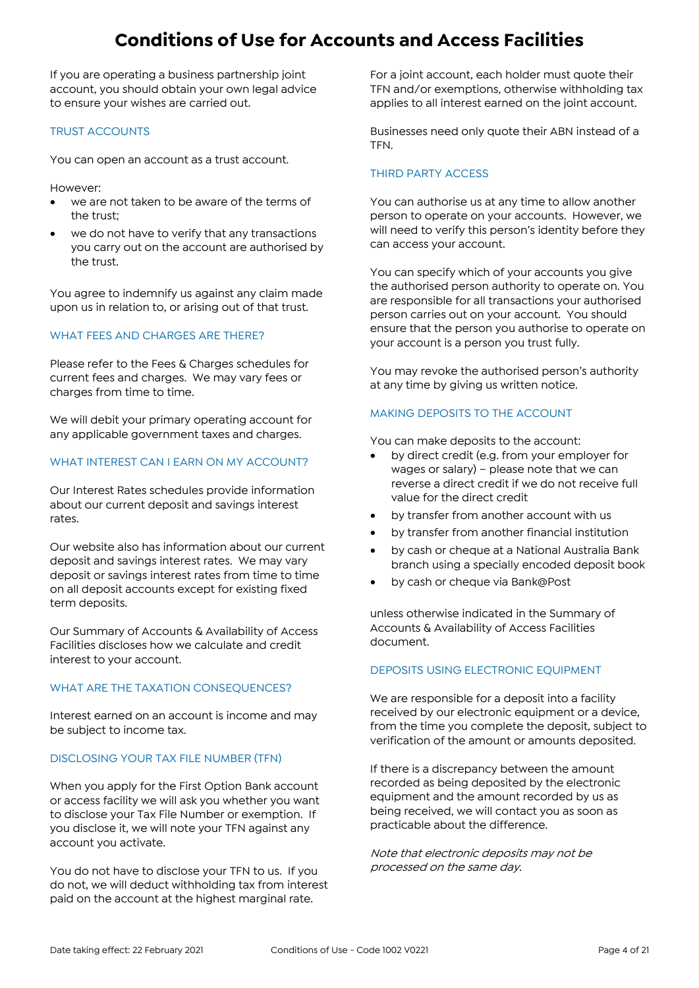If you are operating a business partnership joint account, you should obtain your own legal advice to ensure your wishes are carried out.

#### TRUST ACCOUNTS

You can open an account as a trust account.

However:

- we are not taken to be aware of the terms of the trust;
- we do not have to verify that any transactions you carry out on the account are authorised by the trust.

You agree to indemnify us against any claim made upon us in relation to, or arising out of that trust.

#### WHAT FEES AND CHARGES ARE THERE?

Please refer to the Fees & Charges schedules for current fees and charges. We may vary fees or charges from time to time.

We will debit your primary operating account for any applicable government taxes and charges.

#### WHAT INTEREST CAN I EARN ON MY ACCOUNT?

Our Interest Rates schedules provide information about our current deposit and savings interest rates.

Our website also has information about our current deposit and savings interest rates. We may vary deposit or savings interest rates from time to time on all deposit accounts except for existing fixed term deposits.

Our Summary of Accounts & Availability of Access Facilities discloses how we calculate and credit interest to your account.

#### WHAT ARE THE TAXATION CONSEQUENCES?

Interest earned on an account is income and may be subject to income tax.

#### DISCLOSING YOUR TAX FILE NUMBER (TFN)

When you apply for the First Option Bank account or access facility we will ask you whether you want to disclose your Tax File Number or exemption. If you disclose it, we will note your TFN against any account you activate.

You do not have to disclose your TFN to us. If you do not, we will deduct withholding tax from interest paid on the account at the highest marginal rate.

For a joint account, each holder must quote their TFN and/or exemptions, otherwise withholding tax applies to all interest earned on the joint account.

Businesses need only quote their ABN instead of a TFN.

#### THIRD PARTY ACCESS

You can authorise us at any time to allow another person to operate on your accounts. However, we will need to verify this person's identity before they can access your account.

You can specify which of your accounts you give the authorised person authority to operate on. You are responsible for all transactions your authorised person carries out on your account. You should ensure that the person you authorise to operate on your account is a person you trust fully.

You may revoke the authorised person's authority at any time by giving us written notice.

#### MAKING DEPOSITS TO THE ACCOUNT

You can make deposits to the account:

- by direct credit (e.g. from your employer for wages or salary) – please note that we can reverse a direct credit if we do not receive full value for the direct credit
- by transfer from another account with us
- by transfer from another financial institution
- by cash or cheque at a National Australia Bank branch using a specially encoded deposit book
- by cash or cheque via Bank@Post

unless otherwise indicated in the Summary of Accounts & Availability of Access Facilities document.

#### DEPOSITS USING ELECTRONIC EQUIPMENT

We are responsible for a deposit into a facility received by our electronic equipment or a device, from the time you complete the deposit, subject to verification of the amount or amounts deposited.

If there is a discrepancy between the amount recorded as being deposited by the electronic equipment and the amount recorded by us as being received, we will contact you as soon as practicable about the difference.

Note that electronic deposits may not be processed on the same day.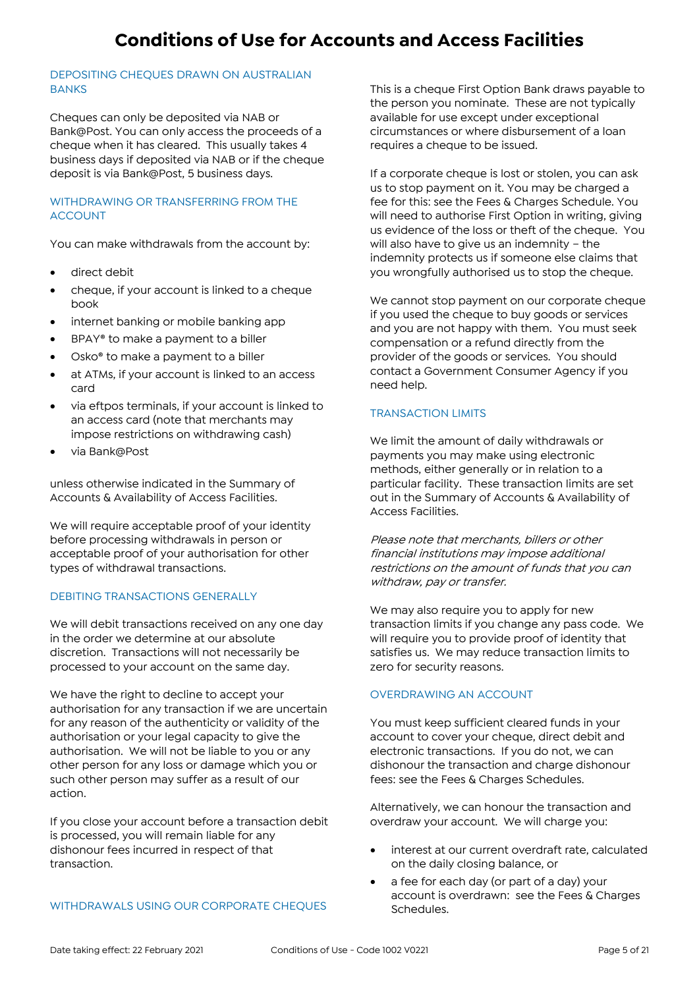#### DEPOSITING CHEQUES DRAWN ON AUSTRALIAN **BANKS**

Cheques can only be deposited via NAB or Bank@Post. You can only access the proceeds of a cheque when it has cleared. This usually takes 4 business days if deposited via NAB or if the cheque deposit is via Bank@Post, 5 business days.

#### WITHDRAWING OR TRANSFERRING FROM THE ACCOUNT

You can make withdrawals from the account by:

- direct debit
- cheque, if your account is linked to a cheque book
- internet banking or mobile banking app
- BPAY® to make a payment to a biller
- Osko<sup>®</sup> to make a payment to a biller
- at ATMs, if your account is linked to an access card
- via eftpos terminals, if your account is linked to an access card (note that merchants may impose restrictions on withdrawing cash)
- via Bank@Post

unless otherwise indicated in the Summary of Accounts & Availability of Access Facilities.

We will require acceptable proof of your identity before processing withdrawals in person or acceptable proof of your authorisation for other types of withdrawal transactions.

#### DEBITING TRANSACTIONS GENERALLY

We will debit transactions received on any one day in the order we determine at our absolute discretion. Transactions will not necessarily be processed to your account on the same day.

We have the right to decline to accept your authorisation for any transaction if we are uncertain for any reason of the authenticity or validity of the authorisation or your legal capacity to give the authorisation. We will not be liable to you or any other person for any loss or damage which you or such other person may suffer as a result of our action.

If you close your account before a transaction debit is processed, you will remain liable for any dishonour fees incurred in respect of that transaction.

#### WITHDRAWALS USING OUR CORPORATE CHEQUES

This is a cheque First Option Bank draws payable to the person you nominate. These are not typically available for use except under exceptional circumstances or where disbursement of a loan requires a cheque to be issued.

If a corporate cheque is lost or stolen, you can ask us to stop payment on it. You may be charged a fee for this: see the Fees & Charges Schedule. You will need to authorise First Option in writing, giving us evidence of the loss or theft of the cheque. You will also have to give us an indemnity – the indemnity protects us if someone else claims that you wrongfully authorised us to stop the cheque.

We cannot stop payment on our corporate cheque if you used the cheque to buy goods or services and you are not happy with them. You must seek compensation or a refund directly from the provider of the goods or services. You should contact a Government Consumer Agency if you need help.

#### TRANSACTION LIMITS

We limit the amount of daily withdrawals or payments you may make using electronic methods, either generally or in relation to a particular facility. These transaction limits are set out in the Summary of Accounts & Availability of Access Facilities.

Please note that merchants, billers or other financial institutions may impose additional restrictions on the amount of funds that you can withdraw, pay or transfer.

We may also require you to apply for new transaction limits if you change any pass code. We will require you to provide proof of identity that satisfies us. We may reduce transaction limits to zero for security reasons.

#### OVERDRAWING AN ACCOUNT

You must keep sufficient cleared funds in your account to cover your cheque, direct debit and electronic transactions. If you do not, we can dishonour the transaction and charge dishonour fees: see the Fees & Charges Schedules.

Alternatively, we can honour the transaction and overdraw your account. We will charge you:

- interest at our current overdraft rate, calculated on the daily closing balance, or
- a fee for each day (or part of a day) your account is overdrawn: see the Fees & Charges Schedules.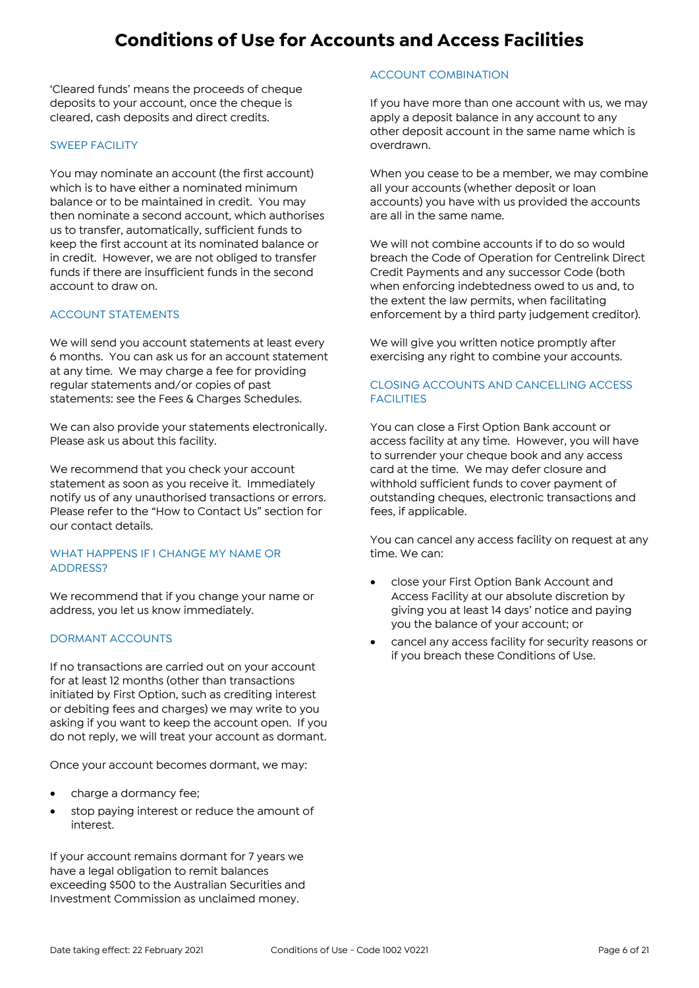'Cleared funds' means the proceeds of cheque deposits to your account, once the cheque is cleared, cash deposits and direct credits.

#### SWEEP FACILITY

You may nominate an account (the first account) which is to have either a nominated minimum balance or to be maintained in credit. You may then nominate a second account, which authorises us to transfer, automatically, sufficient funds to keep the first account at its nominated balance or in credit. However, we are not obliged to transfer funds if there are insufficient funds in the second account to draw on.

#### ACCOUNT STATEMENTS

We will send you account statements at least every 6 months. You can ask us for an account statement at any time. We may charge a fee for providing regular statements and/or copies of past statements: see the Fees & Charges Schedules.

We can also provide your statements electronically. Please ask us about this facility.

We recommend that you check your account statement as soon as you receive it. Immediately notify us of any unauthorised transactions or errors. Please refer to the "How to Contact Us" section for our contact details.

#### WHAT HAPPENS IF I CHANGE MY NAME OR ADDRESS?

We recommend that if you change your name or address, you let us know immediately.

#### DORMANT ACCOUNTS

If no transactions are carried out on your account for at least 12 months (other than transactions initiated by First Option, such as crediting interest or debiting fees and charges) we may write to you asking if you want to keep the account open. If you do not reply, we will treat your account as dormant.

Once your account becomes dormant, we may:

- charge a dormancy fee;
- stop paying interest or reduce the amount of interest.

If your account remains dormant for 7 years we have a legal obligation to remit balances exceeding \$500 to the Australian Securities and Investment Commission as unclaimed money.

#### ACCOUNT COMBINATION

If you have more than one account with us, we may apply a deposit balance in any account to any other deposit account in the same name which is overdrawn.

When you cease to be a member, we may combine all your accounts (whether deposit or loan accounts) you have with us provided the accounts are all in the same name.

We will not combine accounts if to do so would breach the Code of Operation for Centrelink Direct Credit Payments and any successor Code (both when enforcing indebtedness owed to us and, to the extent the law permits, when facilitating enforcement by a third party judgement creditor).

We will give you written notice promptly after exercising any right to combine your accounts.

#### CLOSING ACCOUNTS AND CANCELLING ACCESS **FACILITIES**

You can close a First Option Bank account or access facility at any time. However, you will have to surrender your cheque book and any access card at the time. We may defer closure and withhold sufficient funds to cover payment of outstanding cheques, electronic transactions and fees, if applicable.

You can cancel any access facility on request at any time. We can:

- close your First Option Bank Account and Access Facility at our absolute discretion by giving you at least 14 days' notice and paying you the balance of your account; or
- cancel any access facility for security reasons or if you breach these Conditions of Use.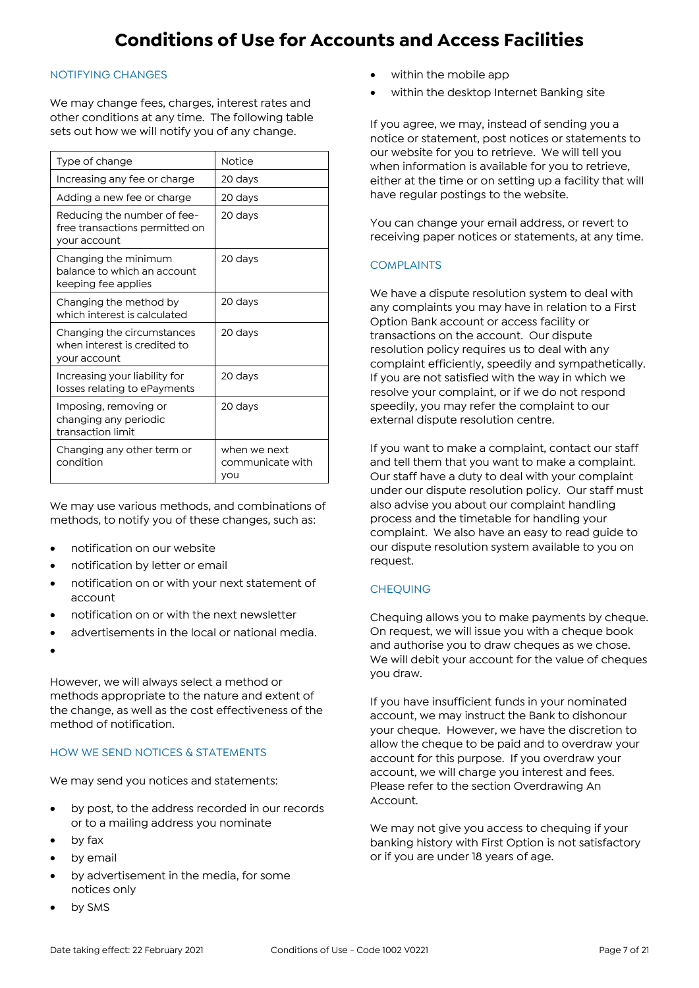#### NOTIFYING CHANGES

We may change fees, charges, interest rates and other conditions at any time. The following table sets out how we will notify you of any change.

| Type of change                                                                | <b>Notice</b>                           |
|-------------------------------------------------------------------------------|-----------------------------------------|
| Increasing any fee or charge                                                  | 20 days                                 |
| Adding a new fee or charge                                                    | 20 days                                 |
| Reducing the number of fee-<br>free transactions permitted on<br>your account | 20 days                                 |
| Changing the minimum<br>balance to which an account<br>keeping fee applies    | 20 days                                 |
| Changing the method by<br>which interest is calculated                        | 20 days                                 |
| Changing the circumstances<br>when interest is credited to<br>your account    | 20 days                                 |
| Increasing your liability for<br>losses relating to ePayments                 | 20 days                                 |
| Imposing, removing or<br>changing any periodic<br>transaction limit           | 20 days                                 |
| Changing any other term or<br>condition                                       | when we next<br>communicate with<br>you |

We may use various methods, and combinations of methods, to notify you of these changes, such as:

- notification on our website
- notification by letter or email
- notification on or with your next statement of account
- notification on or with the next newsletter
- advertisements in the local or national media.
- $\bullet$

However, we will always select a method or methods appropriate to the nature and extent of the change, as well as the cost effectiveness of the method of notification.

#### HOW WE SEND NOTICES & STATEMENTS

We may send you notices and statements:

- by post, to the address recorded in our records or to a mailing address you nominate
- by fax
- by email
- by advertisement in the media, for some notices only
- by SMS
- within the mobile app
- within the desktop Internet Banking site

If you agree, we may, instead of sending you a notice or statement, post notices or statements to our website for you to retrieve. We will tell you when information is available for you to retrieve, either at the time or on setting up a facility that will have regular postings to the website.

You can change your email address, or revert to receiving paper notices or statements, at any time.

#### **COMPLAINTS**

We have a dispute resolution system to deal with any complaints you may have in relation to a First Option Bank account or access facility or transactions on the account. Our dispute resolution policy requires us to deal with any complaint efficiently, speedily and sympathetically. If you are not satisfied with the way in which we resolve your complaint, or if we do not respond speedily, you may refer the complaint to our external dispute resolution centre.

If you want to make a complaint, contact our staff and tell them that you want to make a complaint. Our staff have a duty to deal with your complaint under our dispute resolution policy. Our staff must also advise you about our complaint handling process and the timetable for handling your complaint. We also have an easy to read guide to our dispute resolution system available to you on request.

#### **CHEQUING**

Chequing allows you to make payments by cheque. On request, we will issue you with a cheque book and authorise you to draw cheques as we chose. We will debit your account for the value of cheques you draw.

If you have insufficient funds in your nominated account, we may instruct the Bank to dishonour your cheque. However, we have the discretion to allow the cheque to be paid and to overdraw your account for this purpose. If you overdraw your account, we will charge you interest and fees. Please refer to the section Overdrawing An Account.

We may not give you access to chequing if your banking history with First Option is not satisfactory or if you are under 18 years of age.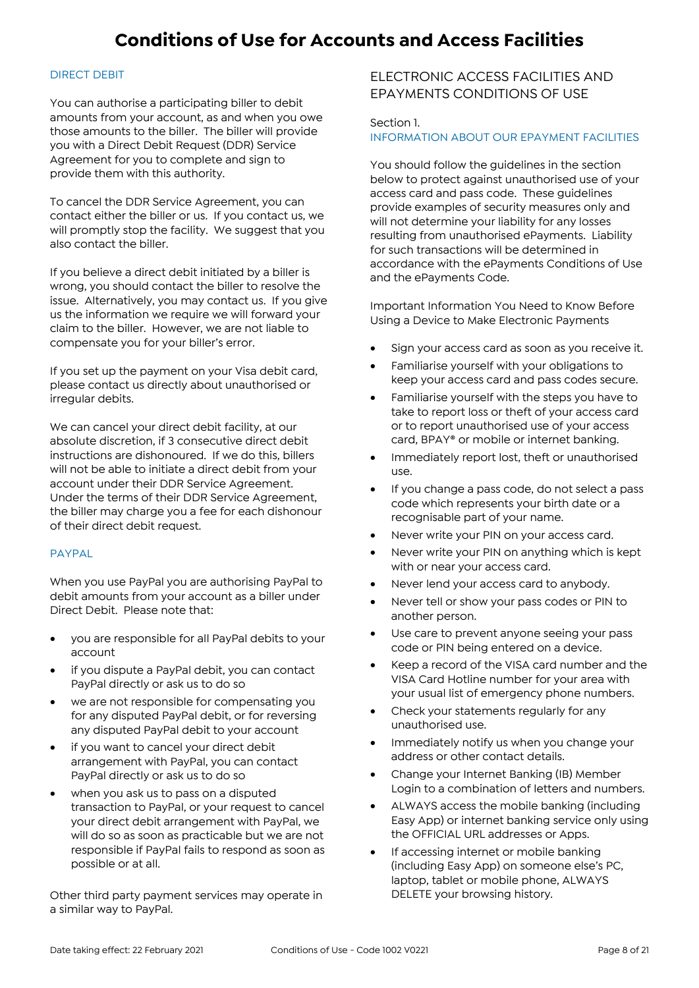#### DIRECT DEBIT

You can authorise a participating biller to debit amounts from your account, as and when you owe those amounts to the biller. The biller will provide you with a Direct Debit Request (DDR) Service Agreement for you to complete and sign to provide them with this authority.

To cancel the DDR Service Agreement, you can contact either the biller or us. If you contact us, we will promptly stop the facility. We suggest that you also contact the biller.

If you believe a direct debit initiated by a biller is wrong, you should contact the biller to resolve the issue. Alternatively, you may contact us. If you give us the information we require we will forward your claim to the biller. However, we are not liable to compensate you for your biller's error.

If you set up the payment on your Visa debit card, please contact us directly about unauthorised or irregular debits.

We can cancel your direct debit facility, at our absolute discretion, if 3 consecutive direct debit instructions are dishonoured. If we do this, billers will not be able to initiate a direct debit from your account under their DDR Service Agreement. Under the terms of their DDR Service Agreement, the biller may charge you a fee for each dishonour of their direct debit request.

#### PAYPAL

When you use PayPal you are authorising PayPal to debit amounts from your account as a biller under Direct Debit. Please note that:

- you are responsible for all PayPal debits to your account
- if you dispute a PayPal debit, you can contact PayPal directly or ask us to do so
- we are not responsible for compensating you for any disputed PayPal debit, or for reversing any disputed PayPal debit to your account
- if you want to cancel your direct debit arrangement with PayPal, you can contact PayPal directly or ask us to do so
- when you ask us to pass on a disputed transaction to PayPal, or your request to cancel your direct debit arrangement with PayPal, we will do so as soon as practicable but we are not responsible if PayPal fails to respond as soon as possible or at all.

Other third party payment services may operate in a similar way to PayPal.

### ELECTRONIC ACCESS FACILITIES AND EPAYMENTS CONDITIONS OF USE

#### Section 1. INFORMATION ABOUT OUR EPAYMENT FACILITIES

You should follow the guidelines in the section below to protect against unauthorised use of your access card and pass code. These guidelines provide examples of security measures only and will not determine your liability for any losses resulting from unauthorised ePayments. Liability for such transactions will be determined in accordance with the ePayments Conditions of Use and the ePayments Code.

Important Information You Need to Know Before Using a Device to Make Electronic Payments

- Sign your access card as soon as you receive it.
- Familiarise yourself with your obligations to keep your access card and pass codes secure.
- Familiarise yourself with the steps you have to take to report loss or theft of your access card or to report unauthorised use of your access card, BPAY® or mobile or internet banking.
- Immediately report lost, theft or unauthorised use.
- If you change a pass code, do not select a pass code which represents your birth date or a recognisable part of your name.
- Never write your PIN on your access card.
- Never write your PIN on anything which is kept with or near your access card.
- Never lend your access card to anybody.
- Never tell or show your pass codes or PIN to another person.
- Use care to prevent anyone seeing your pass code or PIN being entered on a device.
- Keep a record of the VISA card number and the VISA Card Hotline number for your area with your usual list of emergency phone numbers.
- Check your statements regularly for any unauthorised use.
- Immediately notify us when you change your address or other contact details.
- Change your Internet Banking (IB) Member Login to a combination of letters and numbers.
- ALWAYS access the mobile banking (including Easy App) or internet banking service only using the OFFICIAL URL addresses or Apps.
- **If accessing internet or mobile banking** (including Easy App) on someone else's PC, laptop, tablet or mobile phone, ALWAYS DELETE your browsing history.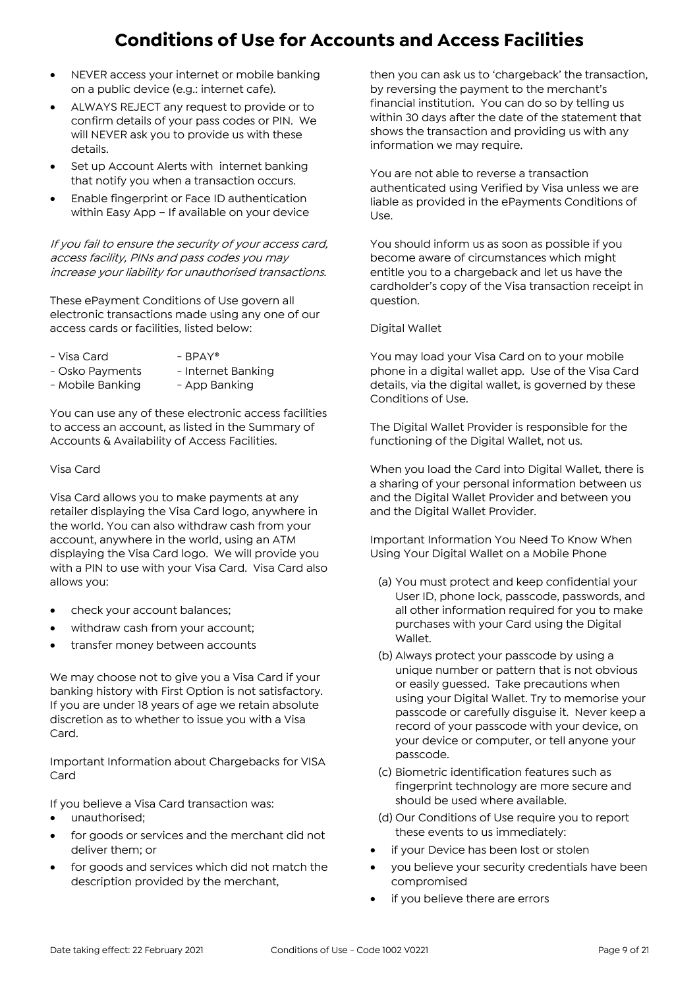- NEVER access your internet or mobile banking on a public device (e.g.: internet cafe).
- ALWAYS REJECT any request to provide or to confirm details of your pass codes or PIN. We will NEVER ask you to provide us with these details.
- Set up Account Alerts with internet banking that notify you when a transaction occurs.
- Enable fingerprint or Face ID authentication within Easy App – If available on your device

If you fail to ensure the security of your access card, access facility, PINs and pass codes you may increase your liability for unauthorised transactions.

These ePayment Conditions of Use govern all electronic transactions made using any one of our access cards or facilities, listed below:

- 
- $-Visa$  Card  $-$  BPAY®
- Osko Payments Internet Banking
- Mobile Banking App Banking

You can use any of these electronic access facilities to access an account, as listed in the Summary of Accounts & Availability of Access Facilities.

#### Visa Card

Visa Card allows you to make payments at any retailer displaying the Visa Card logo, anywhere in the world. You can also withdraw cash from your account, anywhere in the world, using an ATM displaying the Visa Card logo. We will provide you with a PIN to use with your Visa Card. Visa Card also allows you:

- check your account balances;
- withdraw cash from your account;
- transfer money between accounts

We may choose not to give you a Visa Card if your banking history with First Option is not satisfactory. If you are under 18 years of age we retain absolute discretion as to whether to issue you with a Visa Card.

Important Information about Chargebacks for VISA Card

If you believe a Visa Card transaction was:

- unauthorised;
- for goods or services and the merchant did not deliver them; or
- for goods and services which did not match the description provided by the merchant,

then you can ask us to 'chargeback' the transaction, by reversing the payment to the merchant's financial institution. You can do so by telling us within 30 days after the date of the statement that shows the transaction and providing us with any information we may require.

You are not able to reverse a transaction authenticated using Verified by Visa unless we are liable as provided in the ePayments Conditions of Use.

You should inform us as soon as possible if you become aware of circumstances which might entitle you to a chargeback and let us have the cardholder's copy of the Visa transaction receipt in question.

#### Digital Wallet

You may load your Visa Card on to your mobile phone in a digital wallet app. Use of the Visa Card details, via the digital wallet, is governed by these Conditions of Use.

The Digital Wallet Provider is responsible for the functioning of the Digital Wallet, not us.

When you load the Card into Digital Wallet, there is a sharing of your personal information between us and the Digital Wallet Provider and between you and the Digital Wallet Provider.

Important Information You Need To Know When Using Your Digital Wallet on a Mobile Phone

- (a) You must protect and keep confidential your User ID, phone lock, passcode, passwords, and all other information required for you to make purchases with your Card using the Digital Wallet.
- (b) Always protect your passcode by using a unique number or pattern that is not obvious or easily guessed. Take precautions when using your Digital Wallet. Try to memorise your passcode or carefully disguise it. Never keep a record of your passcode with your device, on your device or computer, or tell anyone your passcode.
- (c) Biometric identification features such as fingerprint technology are more secure and should be used where available.
- (d) Our Conditions of Use require you to report these events to us immediately:
- if your Device has been lost or stolen
- you believe your security credentials have been compromised
- if you believe there are errors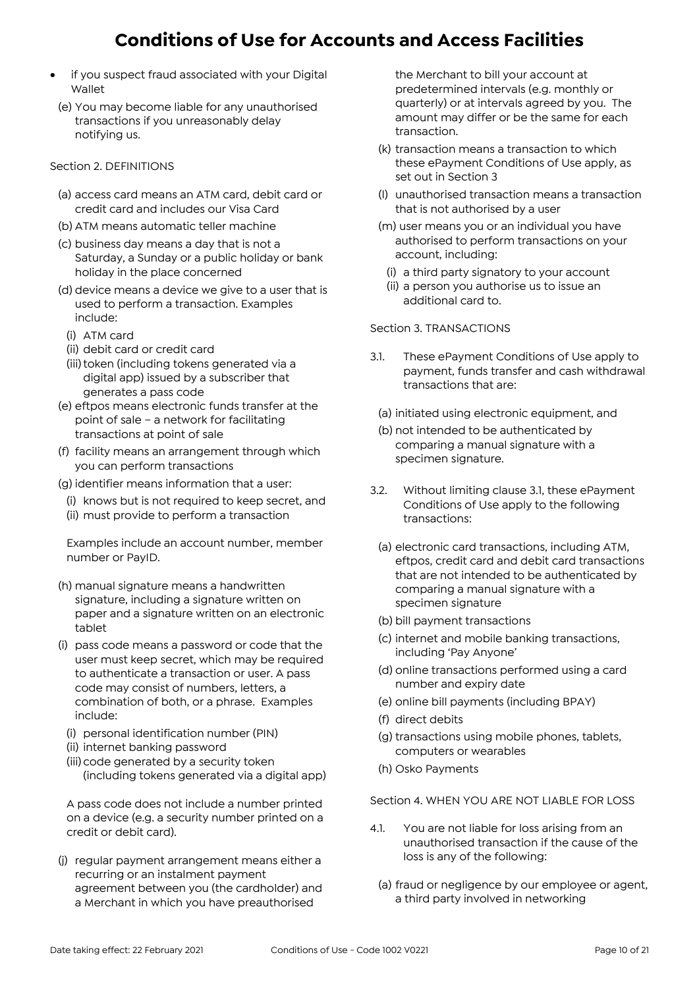- if you suspect fraud associated with your Digital Wallet
- (e) You may become liable for any unauthorised transactions if you unreasonably delay notifying us.

#### Section 2. DEFINITIONS

- (a) access card means an ATM card, debit card or credit card and includes our Visa Card
- (b) ATM means automatic teller machine
- (c) business day means a day that is not a Saturday, a Sunday or a public holiday or bank holiday in the place concerned
- (d) device means a device we give to a user that is used to perform a transaction. Examples include:
- (i) ATM card
- (ii) debit card or credit card
- (iii) token (including tokens generated via a digital app) issued by a subscriber that generates a pass code
- (e) eftpos means electronic funds transfer at the point of sale – a network for facilitating transactions at point of sale
- (f) facility means an arrangement through which you can perform transactions
- (g) identifier means information that a user:
- (i) knows but is not required to keep secret, and
- (ii) must provide to perform a transaction

Examples include an account number, member number or PayID.

- (h) manual signature means a handwritten signature, including a signature written on paper and a signature written on an electronic tablet
- (i) pass code means a password or code that the user must keep secret, which may be required to authenticate a transaction or user. A pass code may consist of numbers, letters, a combination of both, or a phrase. Examples include:
- (i) personal identification number (PIN)
- (ii) internet banking password
- (iii) code generated by a security token (including tokens generated via a digital app)

A pass code does not include a number printed on a device (e.g. a security number printed on a credit or debit card).

(j) regular payment arrangement means either a recurring or an instalment payment agreement between you (the cardholder) and a Merchant in which you have preauthorised

the Merchant to bill your account at predetermined intervals (e.g. monthly or quarterly) or at intervals agreed by you. The amount may differ or be the same for each transaction.

- (k) transaction means a transaction to which these ePayment Conditions of Use apply, as set out in Section 3
- (l) unauthorised transaction means a transaction that is not authorised by a user
- (m) user means you or an individual you have authorised to perform transactions on your account, including:
	- (i) a third party signatory to your account
	- (ii) a person you authorise us to issue an additional card to.

#### Section 3. TRANSACTIONS

- 3.1. These ePayment Conditions of Use apply to payment, funds transfer and cash withdrawal transactions that are:
	- (a) initiated using electronic equipment, and
	- (b) not intended to be authenticated by comparing a manual signature with a specimen signature.
- 3.2. Without limiting clause 3.1, these ePayment Conditions of Use apply to the following transactions:
	- (a) electronic card transactions, including ATM, eftpos, credit card and debit card transactions that are not intended to be authenticated by comparing a manual signature with a specimen signature
	- (b) bill payment transactions
	- (c) internet and mobile banking transactions, including 'Pay Anyone'
	- (d) online transactions performed using a card number and expiry date
	- (e) online bill payments (including BPAY)
	- (f) direct debits
	- (g) transactions using mobile phones, tablets, computers or wearables
	- (h) Osko Payments

Section 4. WHEN YOU ARE NOT LIABLE FOR LOSS

- 4.1. You are not liable for loss arising from an unauthorised transaction if the cause of the loss is any of the following:
	- (a) fraud or negligence by our employee or agent, a third party involved in networking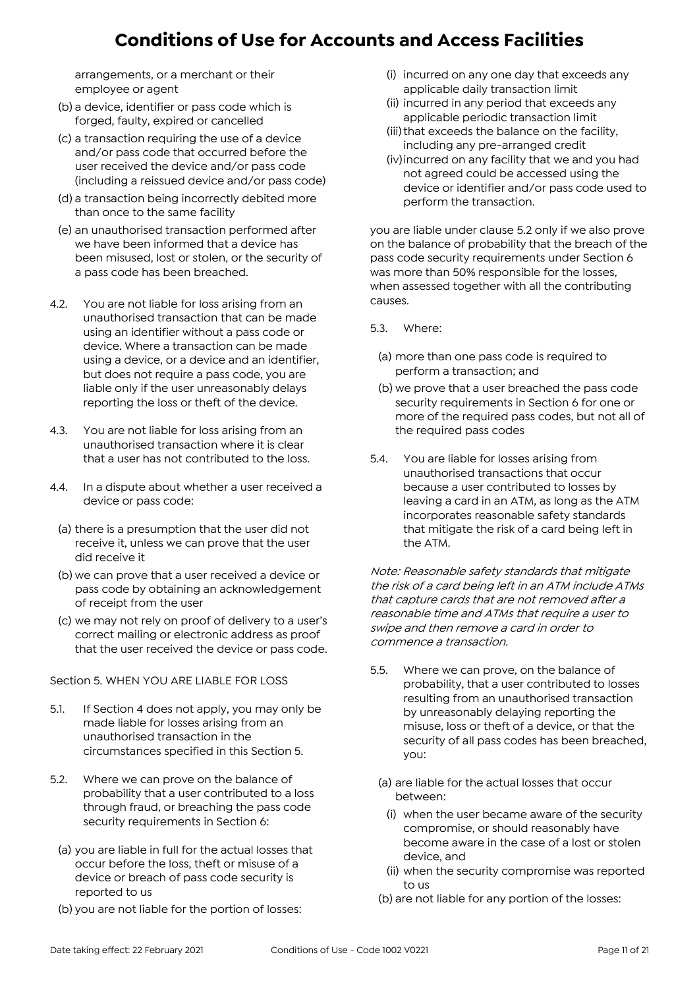arrangements, or a merchant or their employee or agent

- (b) a device, identifier or pass code which is forged, faulty, expired or cancelled
- (c) a transaction requiring the use of a device and/or pass code that occurred before the user received the device and/or pass code (including a reissued device and/or pass code)
- (d) a transaction being incorrectly debited more than once to the same facility
- (e) an unauthorised transaction performed after we have been informed that a device has been misused, lost or stolen, or the security of a pass code has been breached.
- 4.2. You are not liable for loss arising from an unauthorised transaction that can be made using an identifier without a pass code or device. Where a transaction can be made using a device, or a device and an identifier, but does not require a pass code, you are liable only if the user unreasonably delays reporting the loss or theft of the device.
- 4.3. You are not liable for loss arising from an unauthorised transaction where it is clear that a user has not contributed to the loss.
- 4.4. In a dispute about whether a user received a device or pass code:
	- (a) there is a presumption that the user did not receive it, unless we can prove that the user did receive it
	- (b) we can prove that a user received a device or pass code by obtaining an acknowledgement of receipt from the user
	- (c) we may not rely on proof of delivery to a user's correct mailing or electronic address as proof that the user received the device or pass code.

Section 5. WHEN YOU ARE LIABLE FOR LOSS

- 5.1. If Section 4 does not apply, you may only be made liable for losses arising from an unauthorised transaction in the circumstances specified in this Section 5.
- 5.2. Where we can prove on the balance of probability that a user contributed to a loss through fraud, or breaching the pass code security requirements in Section 6:
	- (a) you are liable in full for the actual losses that occur before the loss, theft or misuse of a device or breach of pass code security is reported to us
	- (b) you are not liable for the portion of losses:
- (i) incurred on any one day that exceeds any applicable daily transaction limit
- (ii) incurred in any period that exceeds any applicable periodic transaction limit
- (iii) that exceeds the balance on the facility, including any pre-arranged credit
- (iv)incurred on any facility that we and you had not agreed could be accessed using the device or identifier and/or pass code used to perform the transaction.

you are liable under clause 5.2 only if we also prove on the balance of probability that the breach of the pass code security requirements under Section 6 was more than 50% responsible for the losses, when assessed together with all the contributing causes.

- 5.3. Where:
	- (a) more than one pass code is required to perform a transaction; and
- (b) we prove that a user breached the pass code security requirements in Section 6 for one or more of the required pass codes, but not all of the required pass codes
- 5.4. You are liable for losses arising from unauthorised transactions that occur because a user contributed to losses by leaving a card in an ATM, as long as the ATM incorporates reasonable safety standards that mitigate the risk of a card being left in the ATM.

Note: Reasonable safety standards that mitigate the risk of a card being left in an ATM include ATMs that capture cards that are not removed after a reasonable time and ATMs that require a user to swipe and then remove a card in order to commence a transaction.

- 5.5. Where we can prove, on the balance of probability, that a user contributed to losses resulting from an unauthorised transaction by unreasonably delaying reporting the misuse, loss or theft of a device, or that the security of all pass codes has been breached, you:
	- (a) are liable for the actual losses that occur between:
		- (i) when the user became aware of the security compromise, or should reasonably have become aware in the case of a lost or stolen device, and
		- (ii) when the security compromise was reported to us
	- (b) are not liable for any portion of the losses: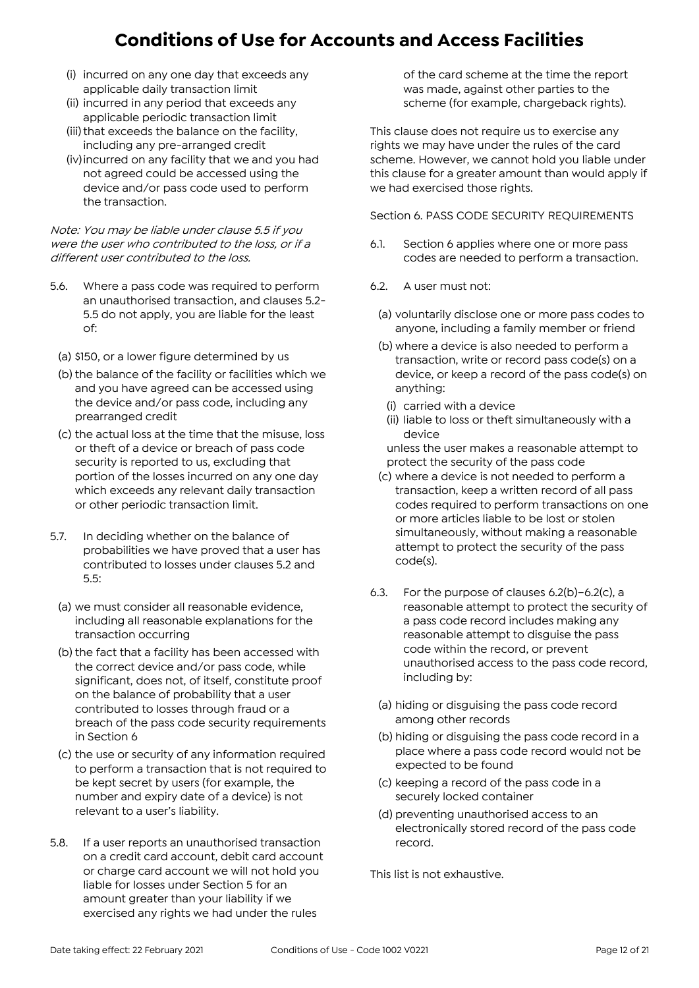- (i) incurred on any one day that exceeds any applicable daily transaction limit
- (ii) incurred in any period that exceeds any applicable periodic transaction limit
- (iii) that exceeds the balance on the facility, including any pre-arranged credit
- (iv)incurred on any facility that we and you had not agreed could be accessed using the device and/or pass code used to perform the transaction.

Note: You may be liable under clause 5.5 if you were the user who contributed to the loss, or if a different user contributed to the loss.

- 5.6. Where a pass code was required to perform an unauthorised transaction, and clauses 5.2- 5.5 do not apply, you are liable for the least of:
	- (a) \$150, or a lower figure determined by us
	- (b) the balance of the facility or facilities which we and you have agreed can be accessed using the device and/or pass code, including any prearranged credit
	- (c) the actual loss at the time that the misuse, loss or theft of a device or breach of pass code security is reported to us, excluding that portion of the losses incurred on any one day which exceeds any relevant daily transaction or other periodic transaction limit.
- 5.7. In deciding whether on the balance of probabilities we have proved that a user has contributed to losses under clauses 5.2 and 5.5:
	- (a) we must consider all reasonable evidence, including all reasonable explanations for the transaction occurring
	- (b) the fact that a facility has been accessed with the correct device and/or pass code, while significant, does not, of itself, constitute proof on the balance of probability that a user contributed to losses through fraud or a breach of the pass code security requirements in Section 6
	- (c) the use or security of any information required to perform a transaction that is not required to be kept secret by users (for example, the number and expiry date of a device) is not relevant to a user's liability.
- 5.8. If a user reports an unauthorised transaction on a credit card account, debit card account or charge card account we will not hold you liable for losses under Section 5 for an amount greater than your liability if we exercised any rights we had under the rules

of the card scheme at the time the report was made, against other parties to the scheme (for example, chargeback rights).

This clause does not require us to exercise any rights we may have under the rules of the card scheme. However, we cannot hold you liable under this clause for a greater amount than would apply if we had exercised those rights.

Section 6. PASS CODE SECURITY REQUIREMENTS

- 6.1. Section 6 applies where one or more pass codes are needed to perform a transaction.
- 6.2. A user must not:
	- (a) voluntarily disclose one or more pass codes to anyone, including a family member or friend
	- (b) where a device is also needed to perform a transaction, write or record pass code(s) on a device, or keep a record of the pass code(s) on anything:
		- (i) carried with a device
		- (ii) liable to loss or theft simultaneously with a device

unless the user makes a reasonable attempt to protect the security of the pass code

- (c) where a device is not needed to perform a transaction, keep a written record of all pass codes required to perform transactions on one or more articles liable to be lost or stolen simultaneously, without making a reasonable attempt to protect the security of the pass code(s).
- 6.3. For the purpose of clauses 6.2(b)–6.2(c), a reasonable attempt to protect the security of a pass code record includes making any reasonable attempt to disguise the pass code within the record, or prevent unauthorised access to the pass code record, including by:
	- (a) hiding or disguising the pass code record among other records
	- (b) hiding or disguising the pass code record in a place where a pass code record would not be expected to be found
	- (c) keeping a record of the pass code in a securely locked container
- (d) preventing unauthorised access to an electronically stored record of the pass code record.

This list is not exhaustive.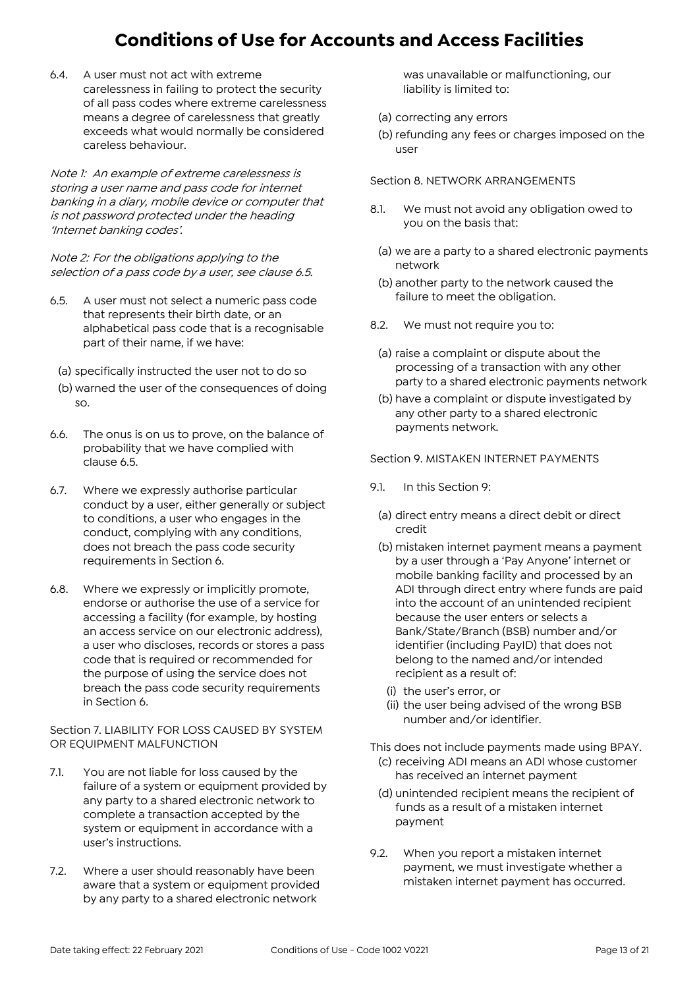6.4. A user must not act with extreme carelessness in failing to protect the security of all pass codes where extreme carelessness means a degree of carelessness that greatly exceeds what would normally be considered careless behaviour.

Note 1: An example of extreme carelessness is storing a user name and pass code for internet banking in a diary, mobile device or computer that is not password protected under the heading 'Internet banking codes'.

Note 2: For the obligations applying to the selection of a pass code by a user, see clause 6.5.

- 6.5. A user must not select a numeric pass code that represents their birth date, or an alphabetical pass code that is a recognisable part of their name, if we have:
	- (a) specifically instructed the user not to do so
	- (b) warned the user of the consequences of doing so.
- 6.6. The onus is on us to prove, on the balance of probability that we have complied with clause 6.5.
- 6.7. Where we expressly authorise particular conduct by a user, either generally or subject to conditions, a user who engages in the conduct, complying with any conditions, does not breach the pass code security requirements in Section 6.
- 6.8. Where we expressly or implicitly promote, endorse or authorise the use of a service for accessing a facility (for example, by hosting an access service on our electronic address), a user who discloses, records or stores a pass code that is required or recommended for the purpose of using the service does not breach the pass code security requirements in Section 6.

Section 7. LIABILITY FOR LOSS CAUSED BY SYSTEM OR EQUIPMENT MALFUNCTION

- 7.1. You are not liable for loss caused by the failure of a system or equipment provided by any party to a shared electronic network to complete a transaction accepted by the system or equipment in accordance with a user's instructions.
- 7.2. Where a user should reasonably have been aware that a system or equipment provided by any party to a shared electronic network

was unavailable or malfunctioning, our liability is limited to:

- (a) correcting any errors
- (b) refunding any fees or charges imposed on the user

Section 8. NETWORK ARRANGEMENTS

- 8.1. We must not avoid any obligation owed to you on the basis that:
	- (a) we are a party to a shared electronic payments network
	- (b) another party to the network caused the failure to meet the obligation.
- 8.2. We must not require you to:
	- (a) raise a complaint or dispute about the processing of a transaction with any other party to a shared electronic payments network
	- (b) have a complaint or dispute investigated by any other party to a shared electronic payments network.

Section 9. MISTAKEN INTERNET PAYMENTS

- 9.1. In this Section 9:
	- (a) direct entry means a direct debit or direct credit
	- (b) mistaken internet payment means a payment by a user through a 'Pay Anyone' internet or mobile banking facility and processed by an ADI through direct entry where funds are paid into the account of an unintended recipient because the user enters or selects a Bank/State/Branch (BSB) number and/or identifier (including PayID) that does not belong to the named and/or intended recipient as a result of:
		- (i) the user's error, or
		- (ii) the user being advised of the wrong BSB number and/or identifier.

This does not include payments made using BPAY.

- (c) receiving ADI means an ADI whose customer has received an internet payment
- (d) unintended recipient means the recipient of funds as a result of a mistaken internet payment
- 9.2. When you report a mistaken internet payment, we must investigate whether a mistaken internet payment has occurred.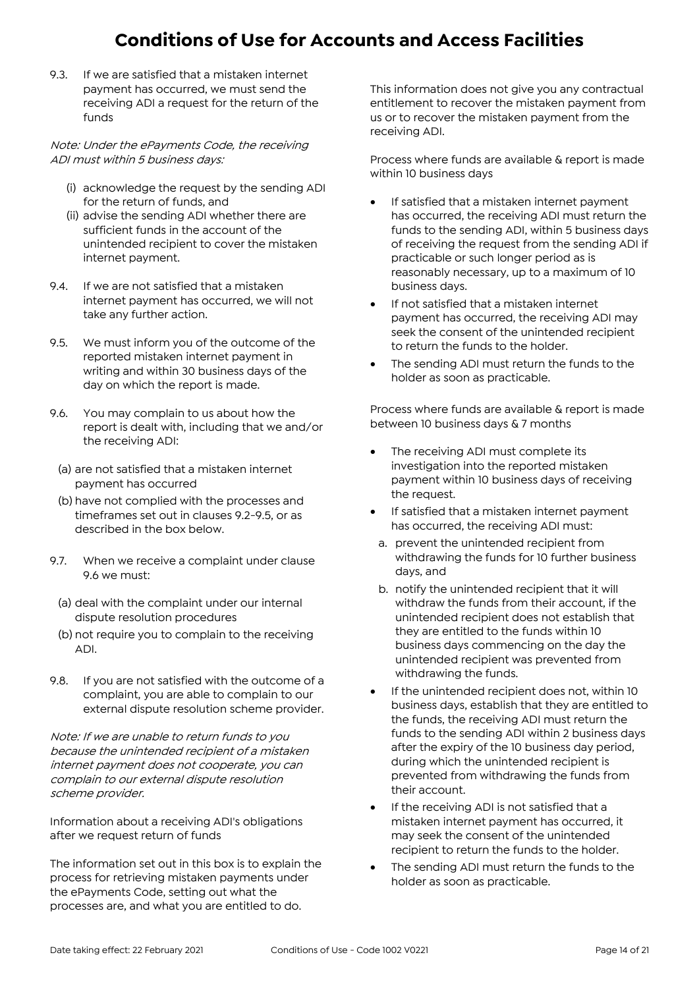9.3. If we are satisfied that a mistaken internet payment has occurred, we must send the receiving ADI a request for the return of the funds

Note: Under the ePayments Code, the receiving ADI must within 5 business days:

- (i) acknowledge the request by the sending ADI for the return of funds, and
- (ii) advise the sending ADI whether there are sufficient funds in the account of the unintended recipient to cover the mistaken internet payment.
- 9.4. If we are not satisfied that a mistaken internet payment has occurred, we will not take any further action.
- 9.5. We must inform you of the outcome of the reported mistaken internet payment in writing and within 30 business days of the day on which the report is made.
- 9.6. You may complain to us about how the report is dealt with, including that we and/or the receiving ADI:
	- (a) are not satisfied that a mistaken internet payment has occurred
	- (b) have not complied with the processes and timeframes set out in clauses 9.2-9.5, or as described in the box below.
- 9.7. When we receive a complaint under clause 9.6 we must:
	- (a) deal with the complaint under our internal dispute resolution procedures
	- (b) not require you to complain to the receiving ADI.
- 9.8. If you are not satisfied with the outcome of a complaint, you are able to complain to our external dispute resolution scheme provider.

Note: If we are unable to return funds to you because the unintended recipient of a mistaken internet payment does not cooperate, you can complain to our external dispute resolution scheme provider.

Information about a receiving ADI's obligations after we request return of funds

The information set out in this box is to explain the process for retrieving mistaken payments under the ePayments Code, setting out what the processes are, and what you are entitled to do.

This information does not give you any contractual entitlement to recover the mistaken payment from us or to recover the mistaken payment from the receiving ADI.

Process where funds are available & report is made within 10 business days

- If satisfied that a mistaken internet payment has occurred, the receiving ADI must return the funds to the sending ADI, within 5 business days of receiving the request from the sending ADI if practicable or such longer period as is reasonably necessary, up to a maximum of 10 business days.
- If not satisfied that a mistaken internet payment has occurred, the receiving ADI may seek the consent of the unintended recipient to return the funds to the holder.
- The sending ADI must return the funds to the holder as soon as practicable.

Process where funds are available & report is made between 10 business days & 7 months

- The receiving ADI must complete its investigation into the reported mistaken payment within 10 business days of receiving the request.
- If satisfied that a mistaken internet payment has occurred, the receiving ADI must:
- a. prevent the unintended recipient from withdrawing the funds for 10 further business days, and
- b. notify the unintended recipient that it will withdraw the funds from their account, if the unintended recipient does not establish that they are entitled to the funds within 10 business days commencing on the day the unintended recipient was prevented from withdrawing the funds.
- If the unintended recipient does not, within 10 business days, establish that they are entitled to the funds, the receiving ADI must return the funds to the sending ADI within 2 business days after the expiry of the 10 business day period, during which the unintended recipient is prevented from withdrawing the funds from their account.
- If the receiving ADI is not satisfied that a mistaken internet payment has occurred, it may seek the consent of the unintended recipient to return the funds to the holder.
- The sending ADI must return the funds to the holder as soon as practicable.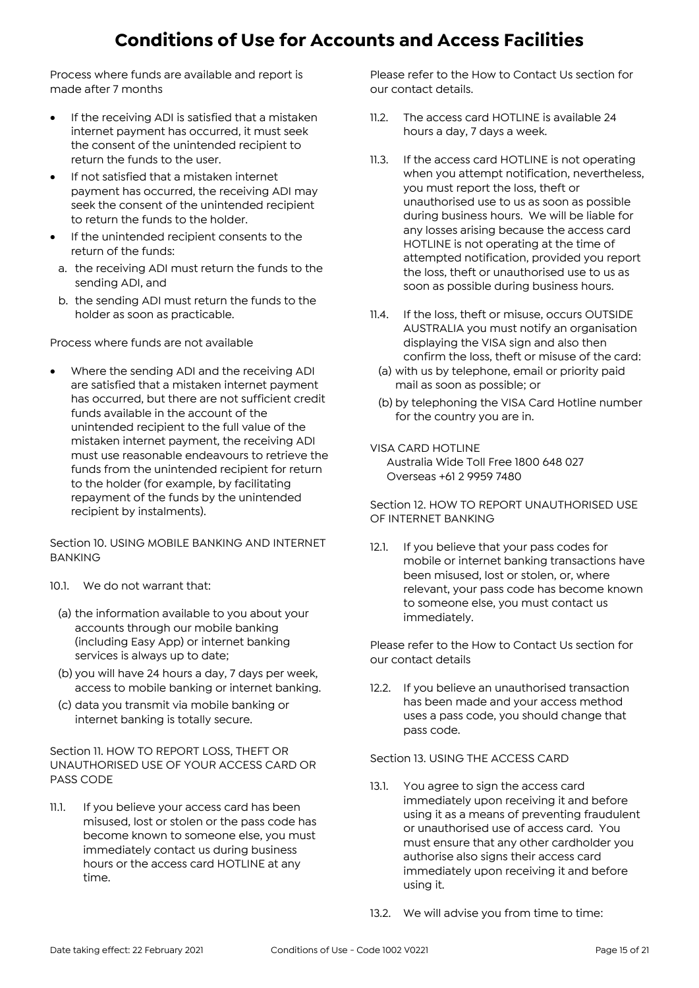Process where funds are available and report is made after 7 months

- **•** If the receiving ADI is satisfied that a mistaken internet payment has occurred, it must seek the consent of the unintended recipient to return the funds to the user.
- If not satisfied that a mistaken internet payment has occurred, the receiving ADI may seek the consent of the unintended recipient to return the funds to the holder.
- If the unintended recipient consents to the return of the funds:
- a. the receiving ADI must return the funds to the sending ADI, and
- b. the sending ADI must return the funds to the holder as soon as practicable.

Process where funds are not available

 Where the sending ADI and the receiving ADI are satisfied that a mistaken internet payment has occurred, but there are not sufficient credit funds available in the account of the unintended recipient to the full value of the mistaken internet payment, the receiving ADI must use reasonable endeavours to retrieve the funds from the unintended recipient for return to the holder (for example, by facilitating repayment of the funds by the unintended recipient by instalments).

Section 10. USING MOBILE BANKING AND INTERNET BANKING

- 10.1. We do not warrant that:
	- (a) the information available to you about your accounts through our mobile banking (including Easy App) or internet banking services is always up to date;
	- (b) you will have 24 hours a day, 7 days per week, access to mobile banking or internet banking.
	- (c) data you transmit via mobile banking or internet banking is totally secure.

Section 11. HOW TO REPORT LOSS, THEFT OR UNAUTHORISED USE OF YOUR ACCESS CARD OR PASS CODE

11.1. If you believe your access card has been misused, lost or stolen or the pass code has become known to someone else, you must immediately contact us during business hours or the access card HOTLINE at any time.

Please refer to the How to Contact Us section for our contact details.

- 11.2. The access card HOTLINE is available 24 hours a day, 7 days a week.
- 11.3. If the access card HOTLINE is not operating when you attempt notification, nevertheless, you must report the loss, theft or unauthorised use to us as soon as possible during business hours. We will be liable for any losses arising because the access card HOTLINE is not operating at the time of attempted notification, provided you report the loss, theft or unauthorised use to us as soon as possible during business hours.
- 11.4. If the loss, theft or misuse, occurs OUTSIDE AUSTRALIA you must notify an organisation displaying the VISA sign and also then confirm the loss, theft or misuse of the card:
	- (a) with us by telephone, email or priority paid mail as soon as possible; or
	- (b) by telephoning the VISA Card Hotline number for the country you are in.

#### VISA CARD HOTLINE

Australia Wide Toll Free 1800 648 027 Overseas +61 2 9959 7480

#### Section 12. HOW TO REPORT UNAUTHORISED USE OF INTERNET BANKING

12.1. If you believe that your pass codes for mobile or internet banking transactions have been misused, lost or stolen, or, where relevant, your pass code has become known to someone else, you must contact us immediately.

Please refer to the How to Contact Us section for our contact details

12.2. If you believe an unauthorised transaction has been made and your access method uses a pass code, you should change that pass code.

#### Section 13. USING THE ACCESS CARD

- 13.1. You agree to sign the access card immediately upon receiving it and before using it as a means of preventing fraudulent or unauthorised use of access card. You must ensure that any other cardholder you authorise also signs their access card immediately upon receiving it and before using it.
- 13.2. We will advise you from time to time: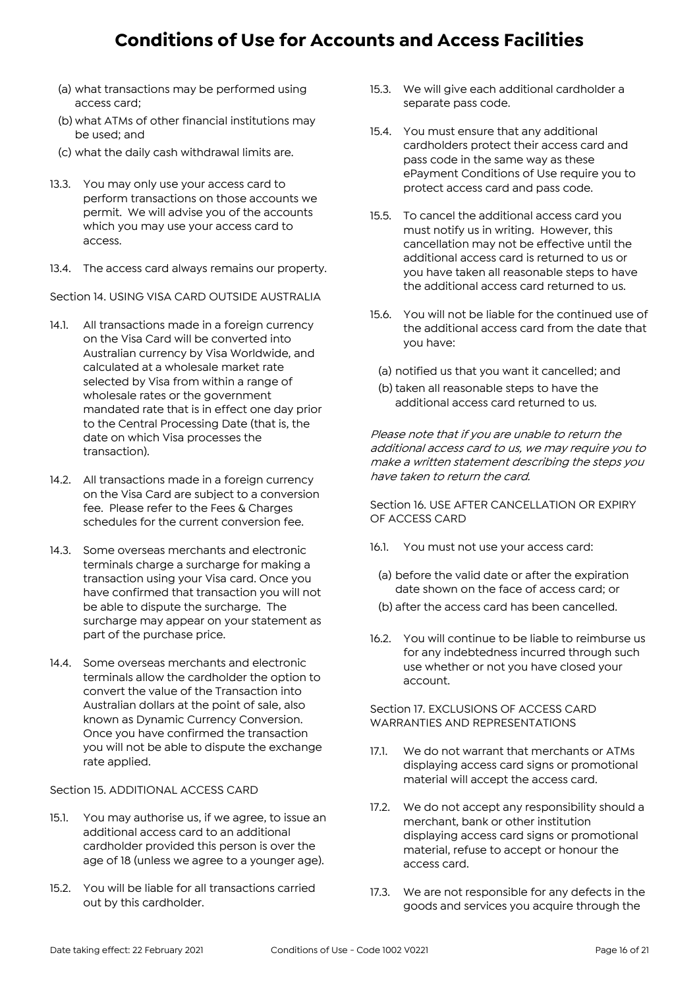- (a) what transactions may be performed using access card;
- (b) what ATMs of other financial institutions may be used; and
- (c) what the daily cash withdrawal limits are.
- 13.3. You may only use your access card to perform transactions on those accounts we permit. We will advise you of the accounts which you may use your access card to access.
- 13.4. The access card always remains our property.

Section 14. USING VISA CARD OUTSIDE AUSTRALIA

- 14.1. All transactions made in a foreign currency on the Visa Card will be converted into Australian currency by Visa Worldwide, and calculated at a wholesale market rate selected by Visa from within a range of wholesale rates or the government mandated rate that is in effect one day prior to the Central Processing Date (that is, the date on which Visa processes the transaction).
- 14.2. All transactions made in a foreign currency on the Visa Card are subject to a conversion fee. Please refer to the Fees & Charges schedules for the current conversion fee.
- 14.3. Some overseas merchants and electronic terminals charge a surcharge for making a transaction using your Visa card. Once you have confirmed that transaction you will not be able to dispute the surcharge. The surcharge may appear on your statement as part of the purchase price.
- 14.4. Some overseas merchants and electronic terminals allow the cardholder the option to convert the value of the Transaction into Australian dollars at the point of sale, also known as Dynamic Currency Conversion. Once you have confirmed the transaction you will not be able to dispute the exchange rate applied.

Section 15. ADDITIONAL ACCESS CARD

- 15.1. You may authorise us, if we agree, to issue an additional access card to an additional cardholder provided this person is over the age of 18 (unless we agree to a younger age).
- 15.2. You will be liable for all transactions carried out by this cardholder.
- 15.3. We will give each additional cardholder a separate pass code.
- 15.4. You must ensure that any additional cardholders protect their access card and pass code in the same way as these ePayment Conditions of Use require you to protect access card and pass code.
- 15.5. To cancel the additional access card you must notify us in writing. However, this cancellation may not be effective until the additional access card is returned to us or you have taken all reasonable steps to have the additional access card returned to us.
- 15.6. You will not be liable for the continued use of the additional access card from the date that you have:
	- (a) notified us that you want it cancelled; and
	- (b) taken all reasonable steps to have the additional access card returned to us.

Please note that if you are unable to return the additional access card to us, we may require you to make a written statement describing the steps you have taken to return the card.

Section 16. USE AFTER CANCELLATION OR EXPIRY OF ACCESS CARD

- 16.1. You must not use your access card:
- (a) before the valid date or after the expiration date shown on the face of access card; or
- (b) after the access card has been cancelled.
- 16.2. You will continue to be liable to reimburse us for any indebtedness incurred through such use whether or not you have closed your account.

Section 17. EXCLUSIONS OF ACCESS CARD WARRANTIES AND REPRESENTATIONS

- 17.1. We do not warrant that merchants or ATMs displaying access card signs or promotional material will accept the access card.
- 17.2. We do not accept any responsibility should a merchant, bank or other institution displaying access card signs or promotional material, refuse to accept or honour the access card.
- 17.3. We are not responsible for any defects in the goods and services you acquire through the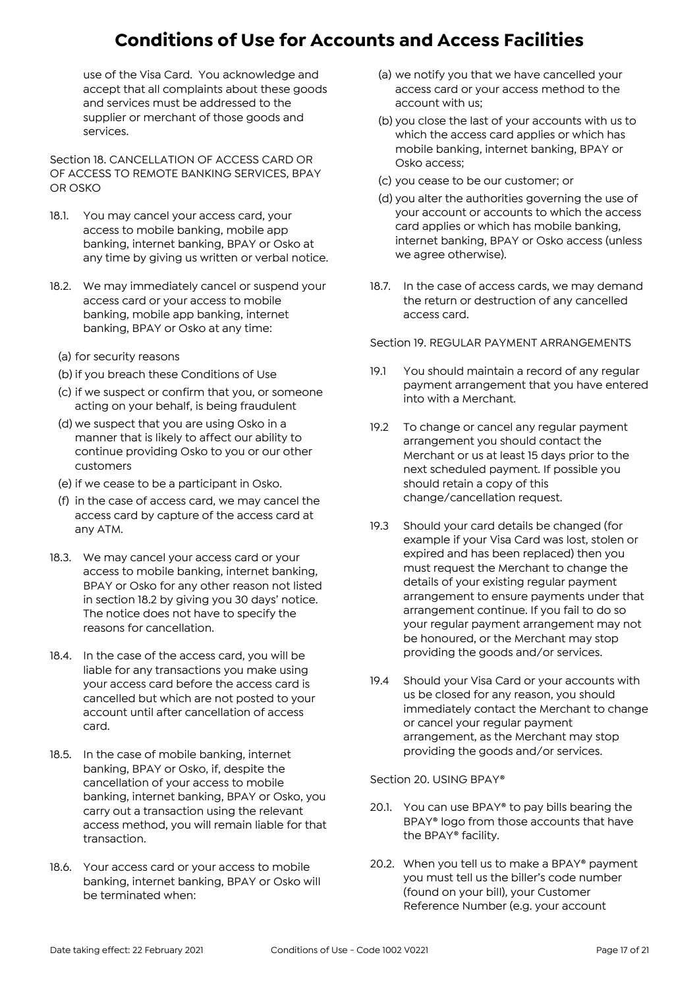use of the Visa Card. You acknowledge and accept that all complaints about these goods and services must be addressed to the supplier or merchant of those goods and services.

Section 18. CANCELLATION OF ACCESS CARD OR OF ACCESS TO REMOTE BANKING SERVICES, BPAY OR OSKO

- 18.1. You may cancel your access card, your access to mobile banking, mobile app banking, internet banking, BPAY or Osko at any time by giving us written or verbal notice.
- 18.2. We may immediately cancel or suspend your access card or your access to mobile banking, mobile app banking, internet banking, BPAY or Osko at any time:
	- (a) for security reasons
	- (b) if you breach these Conditions of Use
	- (c) if we suspect or confirm that you, or someone acting on your behalf, is being fraudulent
	- (d) we suspect that you are using Osko in a manner that is likely to affect our ability to continue providing Osko to you or our other customers
	- (e) if we cease to be a participant in Osko.
	- (f) in the case of access card, we may cancel the access card by capture of the access card at any ATM.
- 18.3. We may cancel your access card or your access to mobile banking, internet banking, BPAY or Osko for any other reason not listed in section 18.2 by giving you 30 days' notice. The notice does not have to specify the reasons for cancellation.
- 18.4. In the case of the access card, you will be liable for any transactions you make using your access card before the access card is cancelled but which are not posted to your account until after cancellation of access card.
- 18.5. In the case of mobile banking, internet banking, BPAY or Osko, if, despite the cancellation of your access to mobile banking, internet banking, BPAY or Osko, you carry out a transaction using the relevant access method, you will remain liable for that transaction.
- 18.6. Your access card or your access to mobile banking, internet banking, BPAY or Osko will be terminated when:
- (a) we notify you that we have cancelled your access card or your access method to the account with us;
- (b) you close the last of your accounts with us to which the access card applies or which has mobile banking, internet banking, BPAY or Osko access;
- (c) you cease to be our customer; or
- (d) you alter the authorities governing the use of your account or accounts to which the access card applies or which has mobile banking, internet banking, BPAY or Osko access (unless we agree otherwise).
- 18.7. In the case of access cards, we may demand the return or destruction of any cancelled access card.

Section 19. REGULAR PAYMENT ARRANGEMENTS

- 19.1 You should maintain a record of any regular payment arrangement that you have entered into with a Merchant.
- 19.2 To change or cancel any regular payment arrangement you should contact the Merchant or us at least 15 days prior to the next scheduled payment. If possible you should retain a copy of this change/cancellation request.
- 19.3 Should your card details be changed (for example if your Visa Card was lost, stolen or expired and has been replaced) then you must request the Merchant to change the details of your existing regular payment arrangement to ensure payments under that arrangement continue. If you fail to do so your regular payment arrangement may not be honoured, or the Merchant may stop providing the goods and/or services.
- 19.4 Should your Visa Card or your accounts with us be closed for any reason, you should immediately contact the Merchant to change or cancel your regular payment arrangement, as the Merchant may stop providing the goods and/or services.

#### Section 20. USING BPAY®

- 20.1. You can use BPAY® to pay bills bearing the BPAY® logo from those accounts that have the BPAY® facility.
- 20.2. When you tell us to make a BPAY® payment you must tell us the biller's code number (found on your bill), your Customer Reference Number (e.g. your account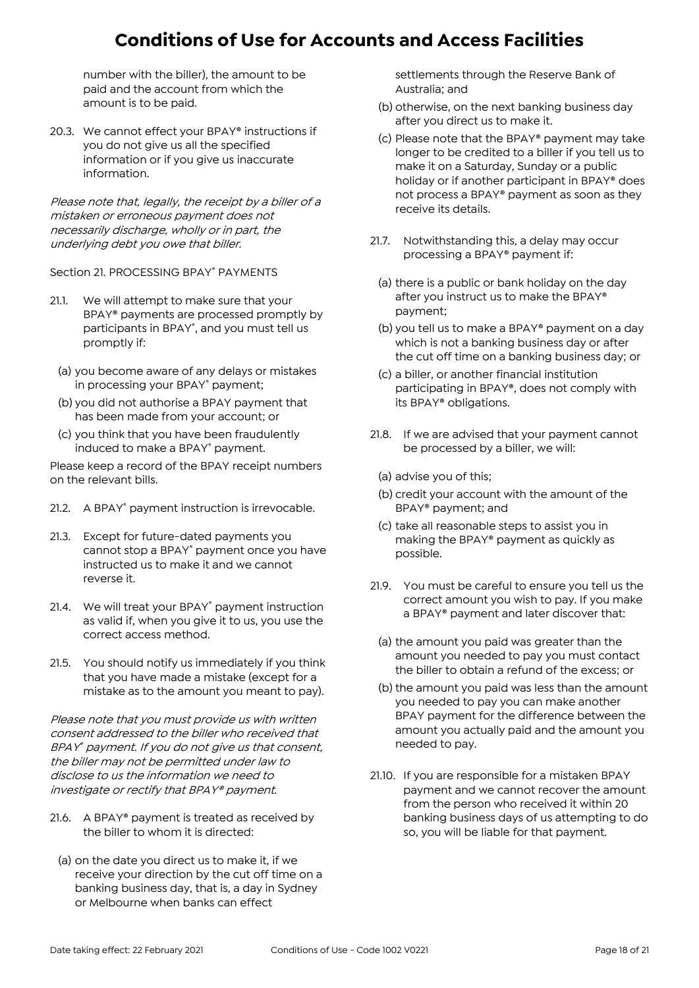number with the biller), the amount to be paid and the account from which the amount is to be paid.

20.3. We cannot effect your BPAY® instructions if you do not give us all the specified information or if you give us inaccurate information.

Please note that, legally, the receipt by a biller of a mistaken or erroneous payment does not necessarily discharge, wholly or in part, the underlying debt you owe that biller.

Section 21. PROCESSING BPAY® PAYMENTS

- 21.1. We will attempt to make sure that your BPAY® payments are processed promptly by participants in BPAY® , and you must tell us promptly if:
	- (a) you become aware of any delays or mistakes in processing your BPAY<sup>®</sup> payment;
	- (b) you did not authorise a BPAY payment that has been made from your account; or
	- (c) you think that you have been fraudulently induced to make a BPAY<sup>®</sup> payment.

Please keep a record of the BPAY receipt numbers on the relevant bills.

- 21.2. A BPAY<sup>®</sup> payment instruction is irrevocable.
- 21.3. Except for future-dated payments you cannot stop a BPAY® payment once you have instructed us to make it and we cannot reverse it.
- 21.4. We will treat your BPAY<sup>®</sup> payment instruction as valid if, when you give it to us, you use the correct access method.
- 21.5. You should notify us immediately if you think that you have made a mistake (except for a mistake as to the amount you meant to pay).

Please note that you must provide us with written consent addressed to the biller who received that BPAY ® payment. If you do not give us that consent, the biller may not be permitted under law to disclose to us the information we need to investigate or rectify that BPAY® payment.

- 21.6. A BPAY® payment is treated as received by the biller to whom it is directed:
	- (a) on the date you direct us to make it, if we receive your direction by the cut off time on a banking business day, that is, a day in Sydney or Melbourne when banks can effect

settlements through the Reserve Bank of Australia; and

- (b) otherwise, on the next banking business day after you direct us to make it.
- (c) Please note that the BPAY® payment may take longer to be credited to a biller if you tell us to make it on a Saturday, Sunday or a public holiday or if another participant in BPAY® does not process a BPAY® payment as soon as they receive its details.
- 21.7. Notwithstanding this, a delay may occur processing a BPAY® payment if:
	- (a) there is a public or bank holiday on the day after you instruct us to make the BPAY® payment;
	- (b) you tell us to make a BPAY® payment on a day which is not a banking business day or after the cut off time on a banking business day; or
	- (c) a biller, or another financial institution participating in BPAY®, does not comply with its BPAY® obligations.
- 21.8. If we are advised that your payment cannot be processed by a biller, we will:
	- (a) advise you of this;
	- (b) credit your account with the amount of the BPAY® payment; and
	- (c) take all reasonable steps to assist you in making the BPAY® payment as quickly as possible.
- 21.9. You must be careful to ensure you tell us the correct amount you wish to pay. If you make a BPAY® payment and later discover that:
	- (a) the amount you paid was greater than the amount you needed to pay you must contact the biller to obtain a refund of the excess; or
- (b) the amount you paid was less than the amount you needed to pay you can make another BPAY payment for the difference between the amount you actually paid and the amount you needed to pay.
- 21.10. If you are responsible for a mistaken BPAY payment and we cannot recover the amount from the person who received it within 20 banking business days of us attempting to do so, you will be liable for that payment.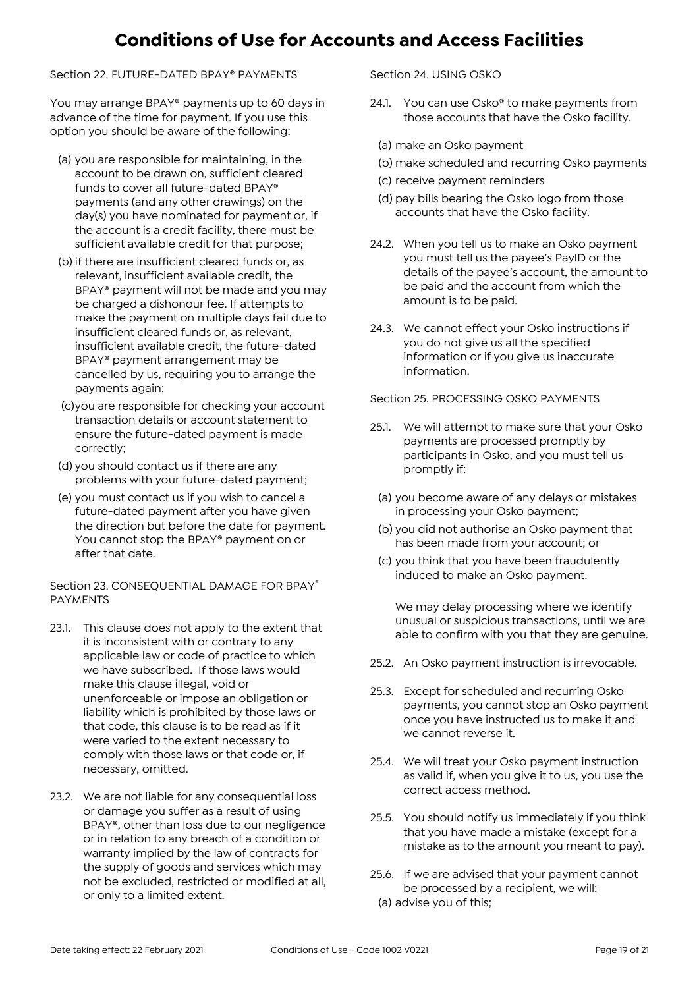Section 22. FUTURE-DATED BPAY® PAYMENTS

You may arrange BPAY® payments up to 60 days in advance of the time for payment. If you use this option you should be aware of the following:

- (a) you are responsible for maintaining, in the account to be drawn on, sufficient cleared funds to cover all future-dated BPAY® payments (and any other drawings) on the day(s) you have nominated for payment or, if the account is a credit facility, there must be sufficient available credit for that purpose;
- (b) if there are insufficient cleared funds or, as relevant, insufficient available credit, the BPAY® payment will not be made and you may be charged a dishonour fee. If attempts to make the payment on multiple days fail due to insufficient cleared funds or, as relevant, insufficient available credit, the future-dated BPAY® payment arrangement may be cancelled by us, requiring you to arrange the payments again;
- (c)you are responsible for checking your account transaction details or account statement to ensure the future-dated payment is made correctly;
- (d) you should contact us if there are any problems with your future-dated payment;
- (e) you must contact us if you wish to cancel a future-dated payment after you have given the direction but before the date for payment. You cannot stop the BPAY® payment on or after that date.

Section 23. CONSEQUENTIAL DAMAGE FOR BPAY® PAYMENTS

- 23.1. This clause does not apply to the extent that it is inconsistent with or contrary to any applicable law or code of practice to which we have subscribed. If those laws would make this clause illegal, void or unenforceable or impose an obligation or liability which is prohibited by those laws or that code, this clause is to be read as if it were varied to the extent necessary to comply with those laws or that code or, if necessary, omitted.
- 23.2. We are not liable for any consequential loss or damage you suffer as a result of using BPAY®, other than loss due to our negligence or in relation to any breach of a condition or warranty implied by the law of contracts for the supply of goods and services which may not be excluded, restricted or modified at all, or only to a limited extent.

Section 24. USING OSKO

- 24.1. You can use Osko<sup>®</sup> to make payments from those accounts that have the Osko facility.
	- (a) make an Osko payment
	- (b) make scheduled and recurring Osko payments
	- (c) receive payment reminders
	- (d) pay bills bearing the Osko logo from those accounts that have the Osko facility.
- 24.2. When you tell us to make an Osko payment you must tell us the payee's PayID or the details of the payee's account, the amount to be paid and the account from which the amount is to be paid.
- 24.3. We cannot effect your Osko instructions if you do not give us all the specified information or if you give us inaccurate information.

Section 25. PROCESSING OSKO PAYMENTS

- 25.1. We will attempt to make sure that your Osko payments are processed promptly by participants in Osko, and you must tell us promptly if:
	- (a) you become aware of any delays or mistakes in processing your Osko payment;
	- (b) you did not authorise an Osko payment that has been made from your account; or
	- (c) you think that you have been fraudulently induced to make an Osko payment.

We may delay processing where we identify unusual or suspicious transactions, until we are able to confirm with you that they are genuine.

- 25.2. An Osko payment instruction is irrevocable.
- 25.3. Except for scheduled and recurring Osko payments, you cannot stop an Osko payment once you have instructed us to make it and we cannot reverse it.
- 25.4. We will treat your Osko payment instruction as valid if, when you give it to us, you use the correct access method.
- 25.5. You should notify us immediately if you think that you have made a mistake (except for a mistake as to the amount you meant to pay).
- 25.6. If we are advised that your payment cannot be processed by a recipient, we will:
- (a) advise you of this;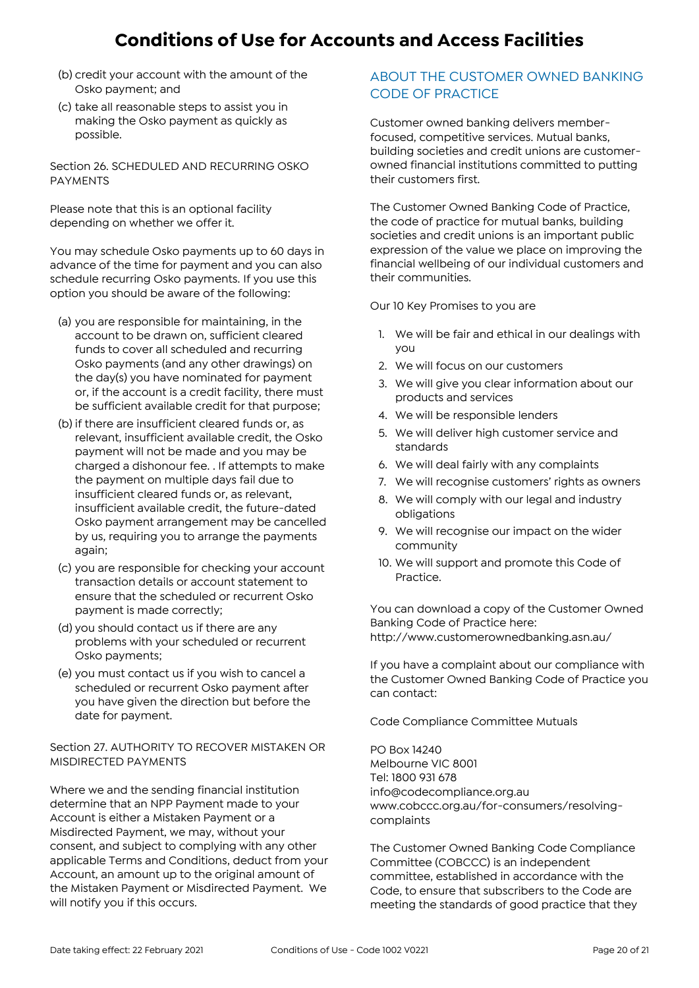- (b) credit your account with the amount of the Osko payment; and
- (c) take all reasonable steps to assist you in making the Osko payment as quickly as possible.

Section 26. SCHEDULED AND RECURRING OSKO PAYMENTS

Please note that this is an optional facility depending on whether we offer it.

You may schedule Osko payments up to 60 days in advance of the time for payment and you can also schedule recurring Osko payments. If you use this option you should be aware of the following:

- (a) you are responsible for maintaining, in the account to be drawn on, sufficient cleared funds to cover all scheduled and recurring Osko payments (and any other drawings) on the day(s) you have nominated for payment or, if the account is a credit facility, there must be sufficient available credit for that purpose;
- (b) if there are insufficient cleared funds or, as relevant, insufficient available credit, the Osko payment will not be made and you may be charged a dishonour fee. . If attempts to make the payment on multiple days fail due to insufficient cleared funds or, as relevant, insufficient available credit, the future-dated Osko payment arrangement may be cancelled by us, requiring you to arrange the payments again;
- (c) you are responsible for checking your account transaction details or account statement to ensure that the scheduled or recurrent Osko payment is made correctly;
- (d) you should contact us if there are any problems with your scheduled or recurrent Osko payments;
- (e) you must contact us if you wish to cancel a scheduled or recurrent Osko payment after you have given the direction but before the date for payment.

Section 27. AUTHORITY TO RECOVER MISTAKEN OR MISDIRECTED PAYMENTS

Where we and the sending financial institution determine that an NPP Payment made to your Account is either a Mistaken Payment or a Misdirected Payment, we may, without your consent, and subject to complying with any other applicable Terms and Conditions, deduct from your Account, an amount up to the original amount of the Mistaken Payment or Misdirected Payment. We will notify you if this occurs.

### ABOUT THE CUSTOMER OWNED BANKING CODE OF PRACTICE

Customer owned banking delivers memberfocused, competitive services. Mutual banks, building societies and credit unions are customerowned financial institutions committed to putting their customers first.

The Customer Owned Banking Code of Practice, the code of practice for mutual banks, building societies and credit unions is an important public expression of the value we place on improving the financial wellbeing of our individual customers and their communities.

Our 10 Key Promises to you are

- 1. We will be fair and ethical in our dealings with you
- 2. We will focus on our customers
- 3. We will give you clear information about our products and services
- 4. We will be responsible lenders
- 5. We will deliver high customer service and standards
- 6. We will deal fairly with any complaints
- 7. We will recognise customers' rights as owners
- 8. We will comply with our legal and industry obligations
- 9. We will recognise our impact on the wider community
- 10. We will support and promote this Code of Practice.

You can download a copy of the Customer Owned Banking Code of Practice here: http://www.customerownedbanking.asn.au/

If you have a complaint about our compliance with the Customer Owned Banking Code of Practice you can contact:

Code Compliance Committee Mutuals

PO Box 14240 Melbourne VIC 8001 Tel: 1800 931 678 info@codecompliance.org.au www.cobccc.org.au/for-consumers/resolvingcomplaints

The Customer Owned Banking Code Compliance Committee (COBCCC) is an independent committee, established in accordance with the Code, to ensure that subscribers to the Code are meeting the standards of good practice that they